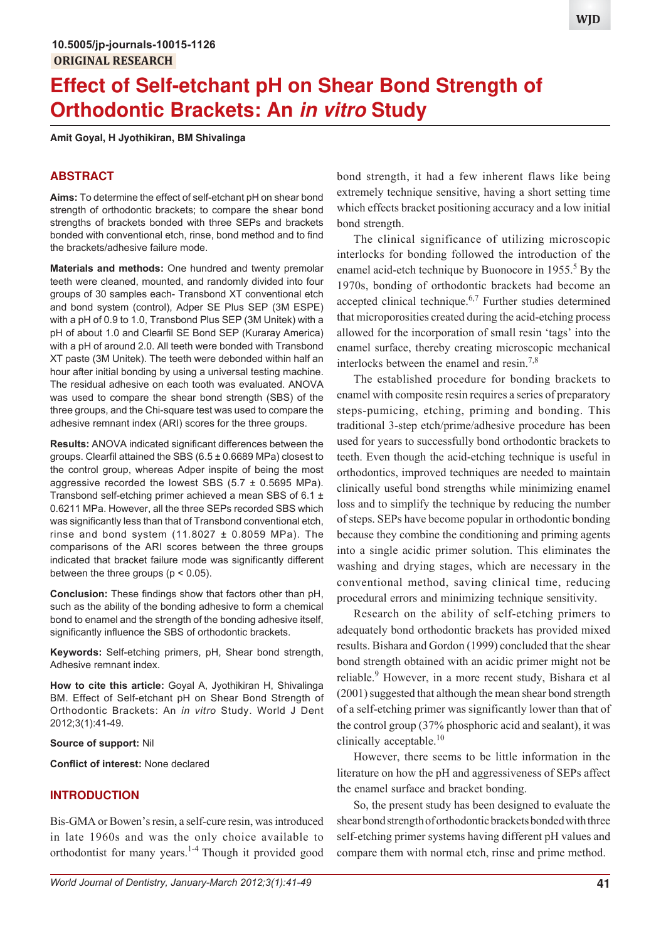# **Effect of Self-etchant pH on Shear Bond Strength of Orthodontic Brackets: An in vitro Study**

**Amit Goyal, H Jyothikiran, BM Shivalinga**

## **ABSTRACT**

**Aims:** To determine the effect of self-etchant pH on shear bond strength of orthodontic brackets; to compare the shear bond strengths of brackets bonded with three SEPs and brackets bonded with conventional etch, rinse, bond method and to find the brackets/adhesive failure mode.

**Materials and methods:** One hundred and twenty premolar teeth were cleaned, mounted, and randomly divided into four groups of 30 samples each- Transbond XT conventional etch and bond system (control), Adper SE Plus SEP (3M ESPE) with a pH of 0.9 to 1.0, Transbond Plus SEP (3M Unitek) with a pH of about 1.0 and Clearfil SE Bond SEP (Kuraray America) with a pH of around 2.0. All teeth were bonded with Transbond XT paste (3M Unitek). The teeth were debonded within half an hour after initial bonding by using a universal testing machine. The residual adhesive on each tooth was evaluated. ANOVA was used to compare the shear bond strength (SBS) of the three groups, and the Chi-square test was used to compare the adhesive remnant index (ARI) scores for the three groups.

**Results:** ANOVA indicated significant differences between the groups. Clearfil attained the SBS  $(6.5 \pm 0.6689 \text{ MPa})$  closest to the control group, whereas Adper inspite of being the most aggressive recorded the lowest SBS  $(5.7 \pm 0.5695 \text{ MPa})$ . Transbond self-etching primer achieved a mean SBS of 6.1 ± 0.6211 MPa. However, all the three SEPs recorded SBS which was significantly less than that of Transbond conventional etch, rinse and bond system  $(11.8027 \pm 0.8059 \text{ MPa})$ . The comparisons of the ARI scores between the three groups indicated that bracket failure mode was significantly different between the three groups ( $p < 0.05$ ).

**Conclusion:** These findings show that factors other than pH, such as the ability of the bonding adhesive to form a chemical bond to enamel and the strength of the bonding adhesive itself, significantly influence the SBS of orthodontic brackets.

**Keywords:** Self-etching primers, pH, Shear bond strength, Adhesive remnant index.

**How to cite this article:** Goyal A, Jyothikiran H, Shivalinga BM. Effect of Self-etchant pH on Shear Bond Strength of Orthodontic Brackets: An *in vitro* Study. World J Dent 2012;3(1):41-49.

#### **Source of support:** Nil

**Conflict of interest:** None declared

#### **INTRODUCTION**

Bis-GMA or Bowen's resin, a self-cure resin, was introduced in late 1960s and was the only choice available to orthodontist for many years.<sup>1-4</sup> Though it provided good

bond strength, it had a few inherent flaws like being extremely technique sensitive, having a short setting time which effects bracket positioning accuracy and a low initial bond strength.

The clinical significance of utilizing microscopic interlocks for bonding followed the introduction of the enamel acid-etch technique by Buonocore in 1955.<sup>5</sup> By the 1970s, bonding of orthodontic brackets had become an accepted clinical technique. $6,7$  Further studies determined that microporosities created during the acid-etching process allowed for the incorporation of small resin 'tags' into the enamel surface, thereby creating microscopic mechanical interlocks between the enamel and resin.7,8

The established procedure for bonding brackets to enamel with composite resin requires a series of preparatory steps-pumicing, etching, priming and bonding. This traditional 3-step etch/prime/adhesive procedure has been used for years to successfully bond orthodontic brackets to teeth. Even though the acid-etching technique is useful in orthodontics, improved techniques are needed to maintain clinically useful bond strengths while minimizing enamel loss and to simplify the technique by reducing the number of steps. SEPs have become popular in orthodontic bonding because they combine the conditioning and priming agents into a single acidic primer solution. This eliminates the washing and drying stages, which are necessary in the conventional method, saving clinical time, reducing procedural errors and minimizing technique sensitivity.

Research on the ability of self-etching primers to adequately bond orthodontic brackets has provided mixed results. Bishara and Gordon (1999) concluded that the shear bond strength obtained with an acidic primer might not be reliable.<sup>9</sup> However, in a more recent study, Bishara et al (2001) suggested that although the mean shear bond strength of a self-etching primer was significantly lower than that of the control group (37% phosphoric acid and sealant), it was clinically acceptable.<sup>10</sup>

However, there seems to be little information in the literature on how the pH and aggressiveness of SEPs affect the enamel surface and bracket bonding.

So, the present study has been designed to evaluate the shear bond strength of orthodontic brackets bonded with three self-etching primer systems having different pH values and compare them with normal etch, rinse and prime method.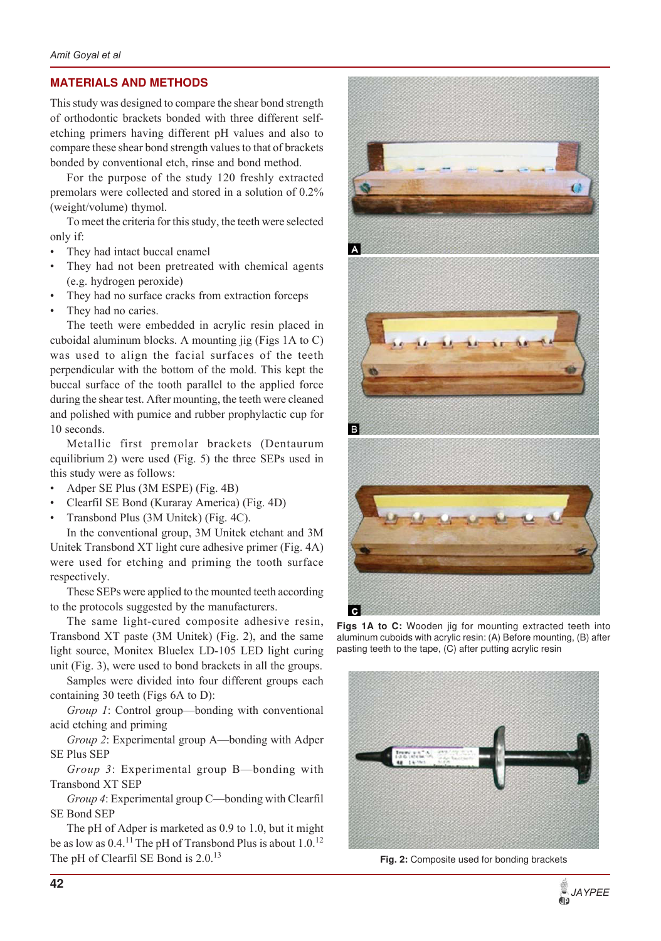## **MATERIALS AND METHODS**

This study was designed to compare the shear bond strength of orthodontic brackets bonded with three different selfetching primers having different pH values and also to compare these shear bond strength values to that of brackets bonded by conventional etch, rinse and bond method.

For the purpose of the study 120 freshly extracted premolars were collected and stored in a solution of 0.2% (weight/volume) thymol.

To meet the criteria for this study, the teeth were selected only if:

- They had intact buccal enamel
- They had not been pretreated with chemical agents (e.g. hydrogen peroxide)
- They had no surface cracks from extraction forceps
- They had no caries.

The teeth were embedded in acrylic resin placed in cuboidal aluminum blocks. A mounting jig (Figs 1A to C) was used to align the facial surfaces of the teeth perpendicular with the bottom of the mold. This kept the buccal surface of the tooth parallel to the applied force during the shear test. After mounting, the teeth were cleaned and polished with pumice and rubber prophylactic cup for 10 seconds.

Metallic first premolar brackets (Dentaurum equilibrium 2) were used (Fig. 5) the three SEPs used in this study were as follows:

- Adper SE Plus (3M ESPE) (Fig. 4B)
- ï Clearfil SE Bond (Kuraray America) (Fig. 4D)
- Transbond Plus (3M Unitek) (Fig. 4C).

In the conventional group, 3M Unitek etchant and 3M Unitek Transbond XT light cure adhesive primer (Fig. 4A) were used for etching and priming the tooth surface respectively.

These SEPs were applied to the mounted teeth according to the protocols suggested by the manufacturers.

The same light-cured composite adhesive resin, Transbond XT paste (3M Unitek) (Fig. 2), and the same light source, Monitex Bluelex LD-105 LED light curing unit (Fig. 3), were used to bond brackets in all the groups.

Samples were divided into four different groups each containing 30 teeth (Figs 6A to D):

*Group 1*: Control group—bonding with conventional acid etching and priming

*Group 2*: Experimental group A—bonding with Adper SE Plus SEP

*Group 3*: Experimental group B—bonding with Transbond XT SEP

*Group 4*: Experimental group C—bonding with Clearfil SE Bond SEP

The pH of Adper is marketed as 0.9 to 1.0, but it might be as low as  $0.4$ .<sup>11</sup> The pH of Transbond Plus is about  $1.0$ .<sup>12</sup> The pH of Clearfil SE Bond is 2.0.<sup>13</sup>



Figs 1A to C: Wooden jig for mounting extracted teeth into aluminum cuboids with acrylic resin: (A) Before mounting, (B) after pasting teeth to the tape, (C) after putting acrylic resin



**Fig. 2:** Composite used for bonding brackets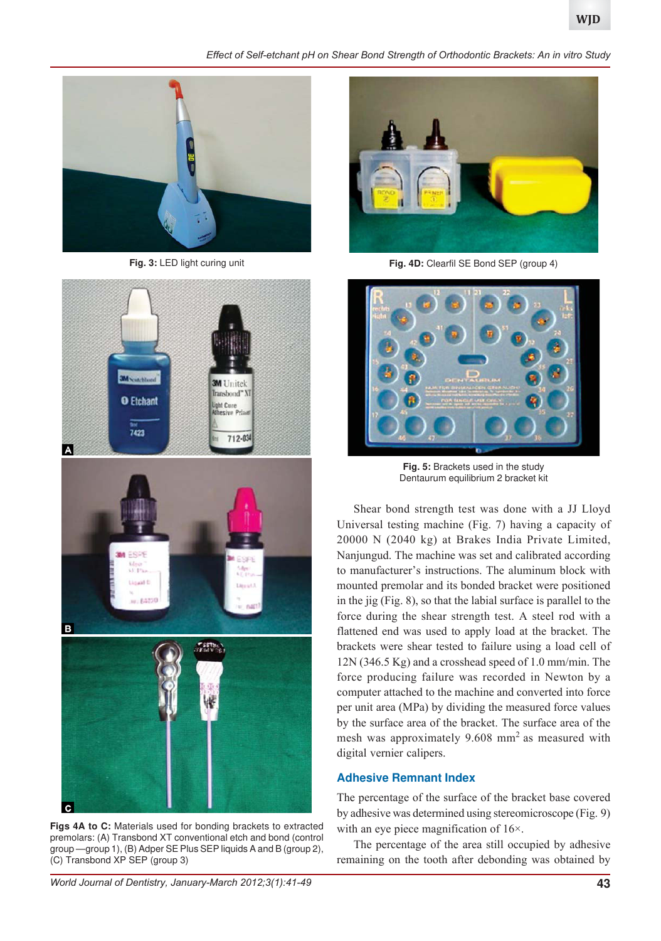*Effect of Self-etchant pH on Shear Bond Strength of Orthodontic Brackets: An in vitro Study*





**Figs 4A to C:** Materials used for bonding brackets to extracted premolars: (A) Transbond XT conventional etch and bond (control group —group 1), (B) Adper SE Plus SEP liquids A and B (group 2), (C) Transbond XP SEP (group 3)



**Fig. 3:** LED light curing unit **Fig. 4D:** Clearfil SE Bond SEP (group 4)



**Fig. 5:** Brackets used in the study Dentaurum equilibrium 2 bracket kit

Shear bond strength test was done with a JJ Lloyd Universal testing machine (Fig. 7) having a capacity of 20000 N (2040 kg) at Brakes India Private Limited, Nanjungud. The machine was set and calibrated according to manufacturer's instructions. The aluminum block with mounted premolar and its bonded bracket were positioned in the jig (Fig. 8), so that the labial surface is parallel to the force during the shear strength test. A steel rod with a flattened end was used to apply load at the bracket. The brackets were shear tested to failure using a load cell of 12N (346.5 Kg) and a crosshead speed of 1.0 mm/min. The force producing failure was recorded in Newton by a computer attached to the machine and converted into force per unit area (MPa) by dividing the measured force values by the surface area of the bracket. The surface area of the mesh was approximately  $9.608$  mm<sup>2</sup> as measured with digital vernier calipers.

#### **Adhesive Remnant Index**

The percentage of the surface of the bracket base covered by adhesive was determined using stereomicroscope (Fig. 9) with an eye piece magnification of 16×.

The percentage of the area still occupied by adhesive remaining on the tooth after debonding was obtained by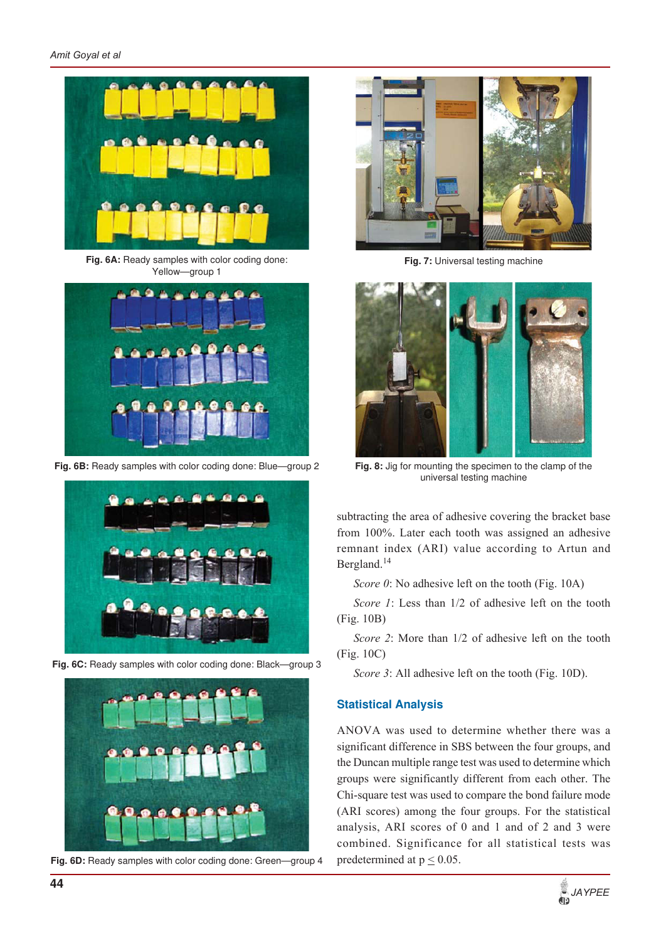*Amit Goyal et al*



Fig. 6A: Ready samples with color coding done: Yellow—group 1



Fig. 6B: Ready samples with color coding done: Blue-group 2



**Fig. 6C:** Ready samples with color coding done: Black—group 3



**Fig. 6D:** Ready samples with color coding done: Green—group 4



**Fig. 7: Universal testing machine** 



**Fig. 8:** Jig for mounting the specimen to the clamp of the universal testing machine

subtracting the area of adhesive covering the bracket base from 100%. Later each tooth was assigned an adhesive remnant index (ARI) value according to Artun and Bergland.<sup>14</sup>

*Score 0*: No adhesive left on the tooth (Fig. 10A)

*Score 1*: Less than 1/2 of adhesive left on the tooth (Fig. 10B)

*Score 2*: More than 1/2 of adhesive left on the tooth (Fig. 10C)

*Score 3*: All adhesive left on the tooth (Fig. 10D).

## **Statistical Analysis**

ANOVA was used to determine whether there was a significant difference in SBS between the four groups, and the Duncan multiple range test was used to determine which groups were significantly different from each other. The Chi-square test was used to compare the bond failure mode (ARI scores) among the four groups. For the statistical analysis, ARI scores of 0 and 1 and of 2 and 3 were combined. Significance for all statistical tests was predetermined at  $p \le 0.05$ .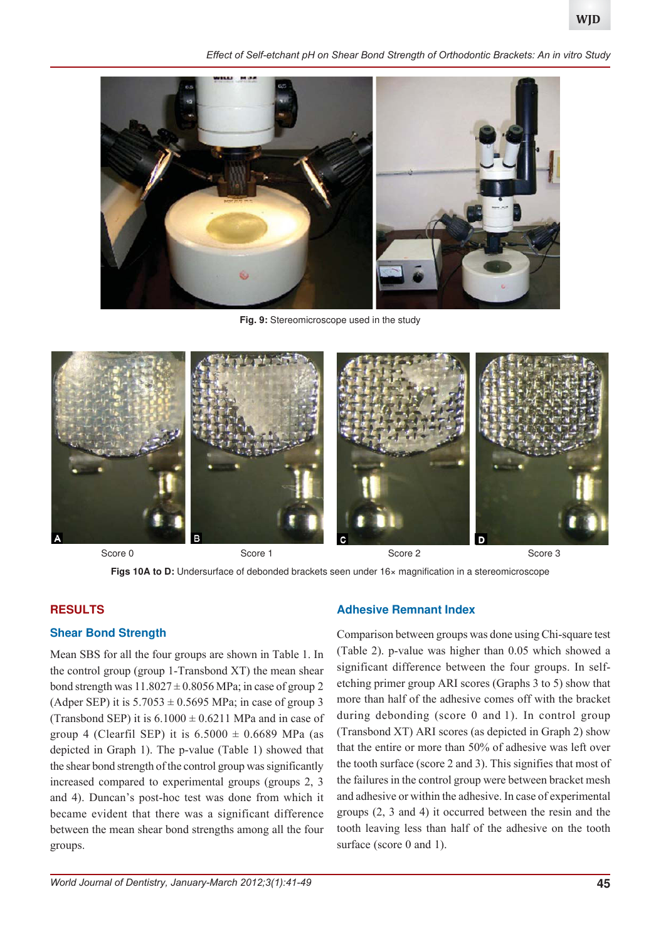*Effect of Self-etchant pH on Shear Bond Strength of Orthodontic Brackets: An in vitro Study*



**Fig. 9:** Stereomicroscope used in the study



Score 0 Score 1 Score 2 Score 3 Score 3 Score 3 Score 3 Score 3



# **RESULTS**

# **Shear Bond Strength**

Mean SBS for all the four groups are shown in Table 1. In the control group (group 1-Transbond XT) the mean shear bond strength was  $11.8027 \pm 0.8056$  MPa; in case of group 2 (Adper SEP) it is  $5.7053 \pm 0.5695$  MPa; in case of group 3 (Transbond SEP) it is  $6.1000 \pm 0.6211$  MPa and in case of group 4 (Clearfil SEP) it is  $6.5000 \pm 0.6689$  MPa (as depicted in Graph 1). The p-value (Table 1) showed that the shear bond strength of the control group was significantly increased compared to experimental groups (groups 2, 3 and 4). Duncan's post-hoc test was done from which it became evident that there was a significant difference between the mean shear bond strengths among all the four groups.

#### **Adhesive Remnant Index**

Comparison between groups was done using Chi-square test (Table 2). p-value was higher than 0.05 which showed a significant difference between the four groups. In selfetching primer group ARI scores (Graphs 3 to 5) show that more than half of the adhesive comes off with the bracket during debonding (score 0 and 1). In control group (Transbond XT) ARI scores (as depicted in Graph 2) show that the entire or more than 50% of adhesive was left over the tooth surface (score 2 and 3). This signifies that most of the failures in the control group were between bracket mesh and adhesive or within the adhesive. In case of experimental groups (2, 3 and 4) it occurred between the resin and the tooth leaving less than half of the adhesive on the tooth surface (score 0 and 1).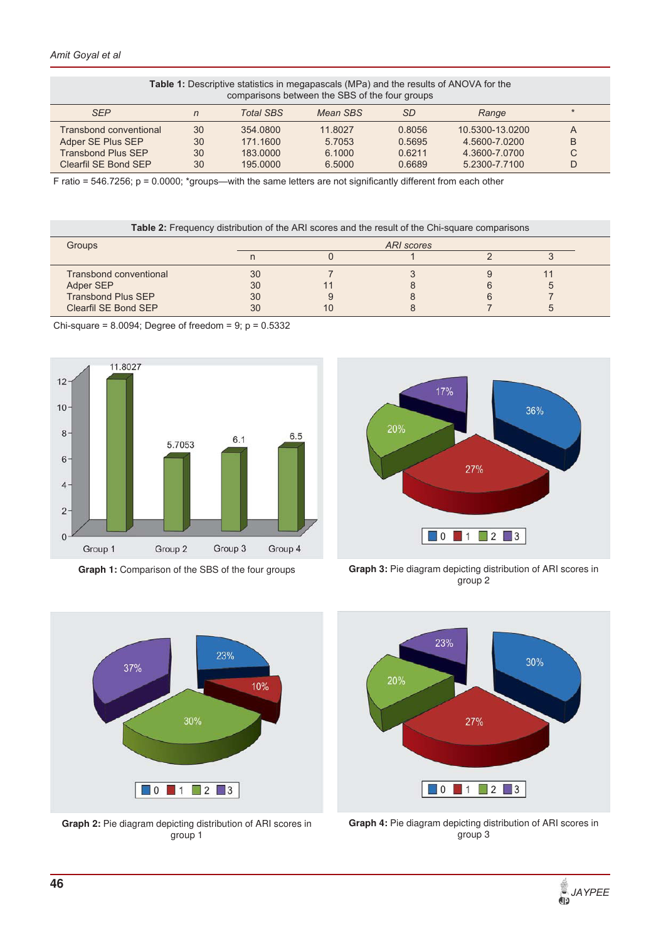| <b>Table 1:</b> Descriptive statistics in megapascals (MPa) and the results of ANOVA for the<br>comparisons between the SBS of the four groups |    |                  |          |           |                 |         |  |  |  |  |
|------------------------------------------------------------------------------------------------------------------------------------------------|----|------------------|----------|-----------|-----------------|---------|--|--|--|--|
| <b>SEP</b>                                                                                                                                     | n  | <b>Total SBS</b> | Mean SBS | <b>SD</b> | Range           | $\star$ |  |  |  |  |
| <b>Transbond conventional</b>                                                                                                                  | 30 | 354,0800         | 11.8027  | 0.8056    | 10.5300-13.0200 | A       |  |  |  |  |
| Adper SE Plus SEP                                                                                                                              | 30 | 171.1600         | 5.7053   | 0.5695    | 4.5600-7.0200   | B       |  |  |  |  |
| <b>Transbond Plus SEP</b>                                                                                                                      | 30 | 183,0000         | 6.1000   | 0.6211    | 4.3600-7.0700   | C       |  |  |  |  |
| Clearfil SE Bond SEP                                                                                                                           | 30 | 195,0000         | 6.5000   | 0.6689    | 5.2300-7.7100   | D       |  |  |  |  |

F ratio = 546.7256; p = 0.0000; \*groups—with the same letters are not significantly different from each other

**Table 2:** Frequency distribution of the ARI scores and the result of the Chi-square comparisons

| Groups                        |    | ARI scores |  |  |  |  |  |  |  |
|-------------------------------|----|------------|--|--|--|--|--|--|--|
|                               |    |            |  |  |  |  |  |  |  |
| <b>Transbond conventional</b> | 30 |            |  |  |  |  |  |  |  |
| Adper SEP                     | 30 |            |  |  |  |  |  |  |  |
| <b>Transbond Plus SEP</b>     | 30 |            |  |  |  |  |  |  |  |
| Clearfil SE Bond SEP          | 30 | 10         |  |  |  |  |  |  |  |

Chi-square =  $8.0094$ ; Degree of freedom =  $9$ ;  $p = 0.5332$ 



Graph 1: Comparison of the SBS of the four groups



**Graph 2:** Pie diagram depicting distribution of ARI scores in group 1



**Graph 3:** Pie diagram depicting distribution of ARI scores in group 2



**Graph 4:** Pie diagram depicting distribution of ARI scores in group 3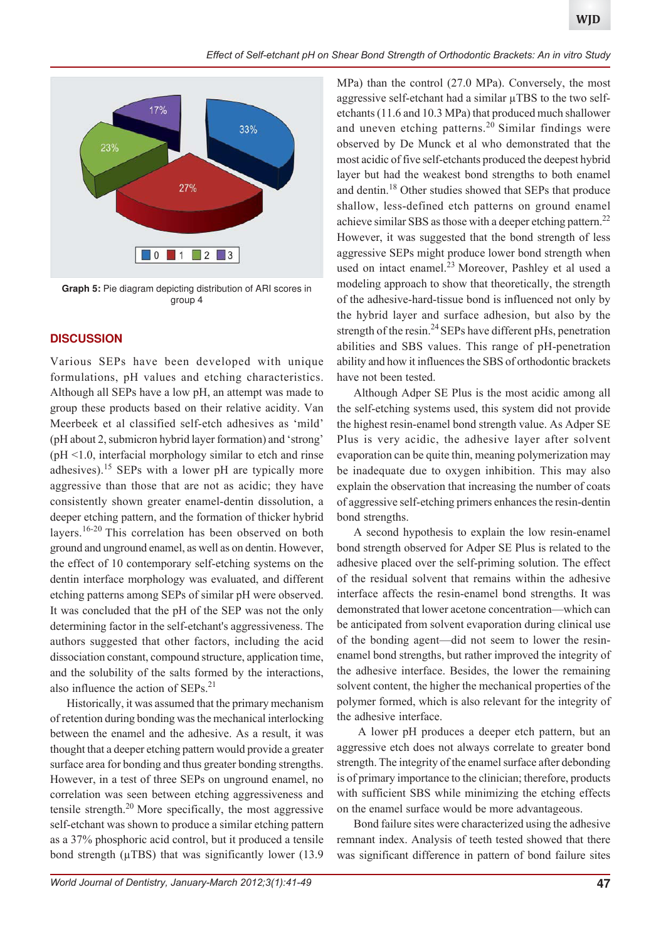

**Graph 5:** Pie diagram depicting distribution of ARI scores in group 4

#### **DISCUSSION**

Various SEPs have been developed with unique formulations, pH values and etching characteristics. Although all SEPs have a low pH, an attempt was made to group these products based on their relative acidity. Van Meerbeek et al classified self-etch adhesives as 'mild' (pH about 2, submicron hybrid layer formation) and 'strong' (pH <1.0, interfacial morphology similar to etch and rinse adhesives).<sup>15</sup> SEPs with a lower pH are typically more aggressive than those that are not as acidic; they have consistently shown greater enamel-dentin dissolution, a deeper etching pattern, and the formation of thicker hybrid layers.16-20 This correlation has been observed on both ground and unground enamel, as well as on dentin. However, the effect of 10 contemporary self-etching systems on the dentin interface morphology was evaluated, and different etching patterns among SEPs of similar pH were observed. It was concluded that the pH of the SEP was not the only determining factor in the self-etchant's aggressiveness. The authors suggested that other factors, including the acid dissociation constant, compound structure, application time, and the solubility of the salts formed by the interactions, also influence the action of SEPs.<sup>21</sup>

Historically, it was assumed that the primary mechanism of retention during bonding was the mechanical interlocking between the enamel and the adhesive. As a result, it was thought that a deeper etching pattern would provide a greater surface area for bonding and thus greater bonding strengths. However, in a test of three SEPs on unground enamel, no correlation was seen between etching aggressiveness and tensile strength. $20$  More specifically, the most aggressive self-etchant was shown to produce a similar etching pattern as a 37% phosphoric acid control, but it produced a tensile bond strength (μTBS) that was significantly lower (13.9

MPa) than the control (27.0 MPa). Conversely, the most aggressive self-etchant had a similar μTBS to the two selfetchants (11.6 and 10.3 MPa) that produced much shallower and uneven etching patterns.<sup>20</sup> Similar findings were observed by De Munck et al who demonstrated that the most acidic of five self-etchants produced the deepest hybrid layer but had the weakest bond strengths to both enamel and dentin.18 Other studies showed that SEPs that produce shallow, less-defined etch patterns on ground enamel achieve similar SBS as those with a deeper etching pattern.<sup>22</sup> However, it was suggested that the bond strength of less aggressive SEPs might produce lower bond strength when used on intact enamel.<sup>23</sup> Moreover, Pashley et al used a modeling approach to show that theoretically, the strength of the adhesive-hard-tissue bond is influenced not only by the hybrid layer and surface adhesion, but also by the strength of the resin.<sup>24</sup> SEPs have different pHs, penetration abilities and SBS values. This range of pH-penetration ability and how it influences the SBS of orthodontic brackets have not been tested.

Although Adper SE Plus is the most acidic among all the self-etching systems used, this system did not provide the highest resin-enamel bond strength value. As Adper SE Plus is very acidic, the adhesive layer after solvent evaporation can be quite thin, meaning polymerization may be inadequate due to oxygen inhibition. This may also explain the observation that increasing the number of coats of aggressive self-etching primers enhances the resin-dentin bond strengths.

A second hypothesis to explain the low resin-enamel bond strength observed for Adper SE Plus is related to the adhesive placed over the self-priming solution. The effect of the residual solvent that remains within the adhesive interface affects the resin-enamel bond strengths. It was demonstrated that lower acetone concentration—which can be anticipated from solvent evaporation during clinical use of the bonding agent—did not seem to lower the resinenamel bond strengths, but rather improved the integrity of the adhesive interface. Besides, the lower the remaining solvent content, the higher the mechanical properties of the polymer formed, which is also relevant for the integrity of the adhesive interface.

 A lower pH produces a deeper etch pattern, but an aggressive etch does not always correlate to greater bond strength. The integrity of the enamel surface after debonding is of primary importance to the clinician; therefore, products with sufficient SBS while minimizing the etching effects on the enamel surface would be more advantageous.

Bond failure sites were characterized using the adhesive remnant index. Analysis of teeth tested showed that there was significant difference in pattern of bond failure sites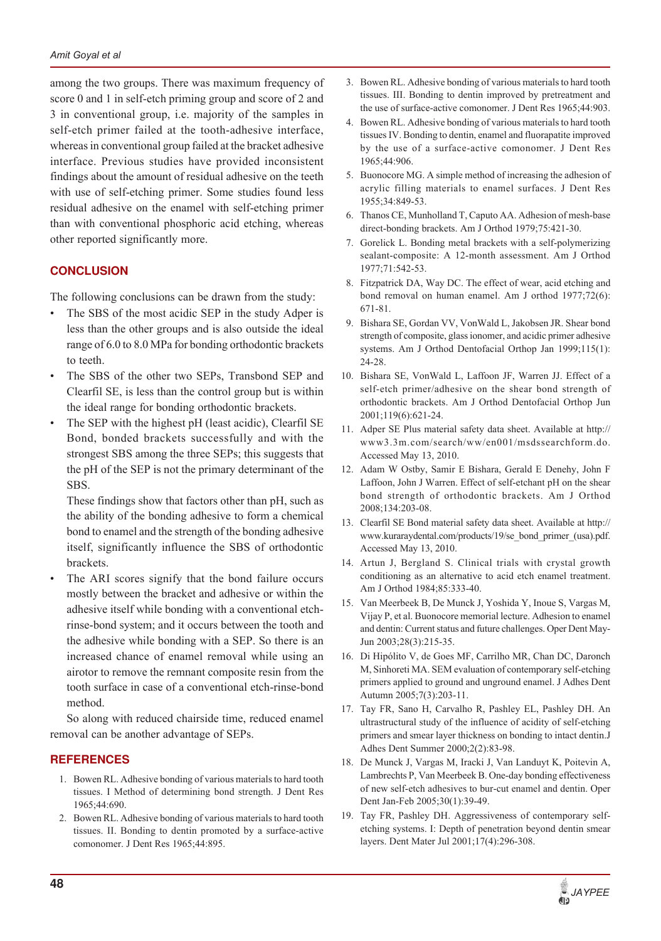among the two groups. There was maximum frequency of score 0 and 1 in self-etch priming group and score of 2 and 3 in conventional group, i.e. majority of the samples in self-etch primer failed at the tooth-adhesive interface, whereas in conventional group failed at the bracket adhesive interface. Previous studies have provided inconsistent findings about the amount of residual adhesive on the teeth with use of self-etching primer. Some studies found less residual adhesive on the enamel with self-etching primer than with conventional phosphoric acid etching, whereas other reported significantly more.

## **CONCLUSION**

The following conclusions can be drawn from the study:

- The SBS of the most acidic SEP in the study Adper is less than the other groups and is also outside the ideal range of 6.0 to 8.0 MPa for bonding orthodontic brackets to teeth.
- The SBS of the other two SEPs, Transbond SEP and Clearfil SE, is less than the control group but is within the ideal range for bonding orthodontic brackets.
- The SEP with the highest pH (least acidic), Clearfil SE Bond, bonded brackets successfully and with the strongest SBS among the three SEPs; this suggests that the pH of the SEP is not the primary determinant of the SBS.

These findings show that factors other than pH, such as the ability of the bonding adhesive to form a chemical bond to enamel and the strength of the bonding adhesive itself, significantly influence the SBS of orthodontic brackets.

The ARI scores signify that the bond failure occurs mostly between the bracket and adhesive or within the adhesive itself while bonding with a conventional etchrinse-bond system; and it occurs between the tooth and the adhesive while bonding with a SEP. So there is an increased chance of enamel removal while using an airotor to remove the remnant composite resin from the tooth surface in case of a conventional etch-rinse-bond method.

So along with reduced chairside time, reduced enamel removal can be another advantage of SEPs.

#### **REFERENCES**

- 1. Bowen RL. Adhesive bonding of various materials to hard tooth tissues. I Method of determining bond strength. J Dent Res 1965;44:690.
- 2. Bowen RL. Adhesive bonding of various materials to hard tooth tissues. II. Bonding to dentin promoted by a surface-active comonomer. J Dent Res 1965;44:895.
- 3. Bowen RL. Adhesive bonding of various materials to hard tooth tissues. III. Bonding to dentin improved by pretreatment and the use of surface-active comonomer. J Dent Res 1965;44:903.
- 4. Bowen RL. Adhesive bonding of various materials to hard tooth tissues IV. Bonding to dentin, enamel and fluorapatite improved by the use of a surface-active comonomer. J Dent Res 1965;44:906.
- 5. Buonocore MG. A simple method of increasing the adhesion of acrylic filling materials to enamel surfaces. J Dent Res 1955;34:849-53.
- 6. Thanos CE, Munholland T, Caputo AA. Adhesion of mesh-base direct-bonding brackets. Am J Orthod 1979;75:421-30.
- 7. Gorelick L. Bonding metal brackets with a self-polymerizing sealant-composite: A 12-month assessment. Am J Orthod 1977;71:542-53.
- 8. Fitzpatrick DA, Way DC. The effect of wear, acid etching and bond removal on human enamel. Am J orthod 1977;72(6): 671-81.
- 9. Bishara SE, Gordan VV, VonWald L, Jakobsen JR. Shear bond strength of composite, glass ionomer, and acidic primer adhesive systems. Am J Orthod Dentofacial Orthop Jan 1999;115(1): 24-28.
- 10. Bishara SE, VonWald L, Laffoon JF, Warren JJ. Effect of a self-etch primer/adhesive on the shear bond strength of orthodontic brackets. Am J Orthod Dentofacial Orthop Jun 2001;119(6):621-24.
- 11. Adper SE Plus material safety data sheet. Available at http:// www3.3m.com/search/ww/en001/msdssearchform.do. Accessed May 13, 2010.
- 12. Adam W Ostby, Samir E Bishara, Gerald E Denehy, John F Laffoon, John J Warren. Effect of self-etchant pH on the shear bond strength of orthodontic brackets. Am J Orthod 2008;134:203-08.
- 13. Clearfil SE Bond material safety data sheet. Available at http:// www.kuraraydental.com/products/19/se\_bond\_primer\_(usa).pdf. Accessed May 13, 2010.
- 14. Artun J, Bergland S. Clinical trials with crystal growth conditioning as an alternative to acid etch enamel treatment. Am J Orthod 1984;85:333-40.
- 15. Van Meerbeek B, De Munck J, Yoshida Y, Inoue S, Vargas M, Vijay P, et al. Buonocore memorial lecture. Adhesion to enamel and dentin: Current status and future challenges. Oper Dent May-Jun 2003;28(3):215-35.
- 16. Di Hipólito V, de Goes MF, Carrilho MR, Chan DC, Daronch M, Sinhoreti MA. SEM evaluation of contemporary self-etching primers applied to ground and unground enamel. J Adhes Dent Autumn 2005;7(3):203-11.
- 17. Tay FR, Sano H, Carvalho R, Pashley EL, Pashley DH. An ultrastructural study of the influence of acidity of self-etching primers and smear layer thickness on bonding to intact dentin.J Adhes Dent Summer 2000;2(2):83-98.
- 18. De Munck J, Vargas M, Iracki J, Van Landuyt K, Poitevin A, Lambrechts P, Van Meerbeek B. One-day bonding effectiveness of new self-etch adhesives to bur-cut enamel and dentin. Oper Dent Jan-Feb 2005;30(1):39-49.
- 19. Tay FR, Pashley DH. Aggressiveness of contemporary selfetching systems. I: Depth of penetration beyond dentin smear layers. Dent Mater Jul 2001;17(4):296-308.